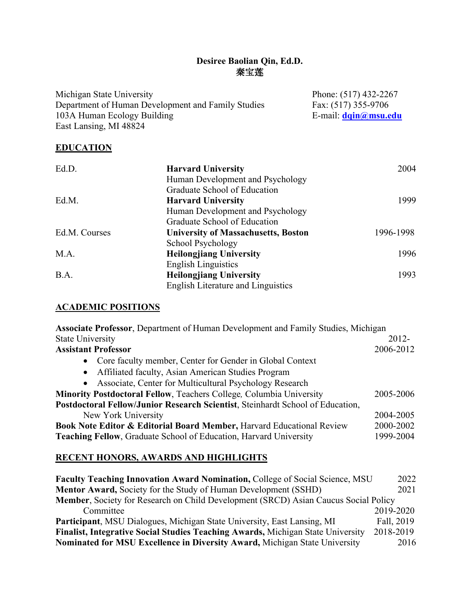# **Desiree Baolian Qin, Ed.D.**  秦宝莲

| Michigan State University                          | Phone: (517) 432-2267 |
|----------------------------------------------------|-----------------------|
| Department of Human Development and Family Studies | Fax: (517) 355-9706   |
| 103A Human Ecology Building                        | E-mail: dqin@msu.edu  |
| East Lansing, MI 48824                             |                       |
|                                                    |                       |

# **EDUCATION**

| Ed.D.         | <b>Harvard University</b>                  | 2004      |
|---------------|--------------------------------------------|-----------|
|               | Human Development and Psychology           |           |
|               | Graduate School of Education               |           |
| Ed.M.         | <b>Harvard University</b>                  | 1999      |
|               | Human Development and Psychology           |           |
|               | Graduate School of Education               |           |
| Ed.M. Courses | <b>University of Massachusetts, Boston</b> | 1996-1998 |
|               | School Psychology                          |           |
| M.A.          | <b>Heilongjiang University</b>             | 1996      |
|               | <b>English Linguistics</b>                 |           |
| B.A.          | <b>Heilongjiang University</b>             | 1993      |
|               | <b>English Literature and Linguistics</b>  |           |

# **ACADEMIC POSITIONS**

| Associate Professor, Department of Human Development and Family Studies, Michigan |           |
|-----------------------------------------------------------------------------------|-----------|
| <b>State University</b>                                                           | $2012 -$  |
| <b>Assistant Professor</b>                                                        | 2006-2012 |
| Core faculty member, Center for Gender in Global Context<br>$\bullet$             |           |
| Affiliated faculty, Asian American Studies Program<br>$\bullet$                   |           |
| Associate, Center for Multicultural Psychology Research<br>$\bullet$              |           |
| <b>Minority Postdoctoral Fellow, Teachers College, Columbia University</b>        | 2005-2006 |
| Postdoctoral Fellow/Junior Research Scientist, Steinhardt School of Education,    |           |
| New York University                                                               | 2004-2005 |
| <b>Book Note Editor &amp; Editorial Board Member, Harvard Educational Review</b>  | 2000-2002 |
| Teaching Fellow, Graduate School of Education, Harvard University                 | 1999-2004 |

# **RECENT HONORS, AWARDS AND HIGHLIGHTS**

| <b>Faculty Teaching Innovation Award Nomination, College of Social Science, MSU</b>    | 2022       |  |
|----------------------------------------------------------------------------------------|------------|--|
| <b>Mentor Award, Society for the Study of Human Development (SSHD)</b>                 |            |  |
| Member, Society for Research on Child Development (SRCD) Asian Caucus Social Policy    |            |  |
| Committee                                                                              | 2019-2020  |  |
| Participant, MSU Dialogues, Michigan State University, East Lansing, MI                | Fall, 2019 |  |
| <b>Finalist, Integrative Social Studies Teaching Awards, Michigan State University</b> | 2018-2019  |  |
| Nominated for MSU Excellence in Diversity Award, Michigan State University             | 2016       |  |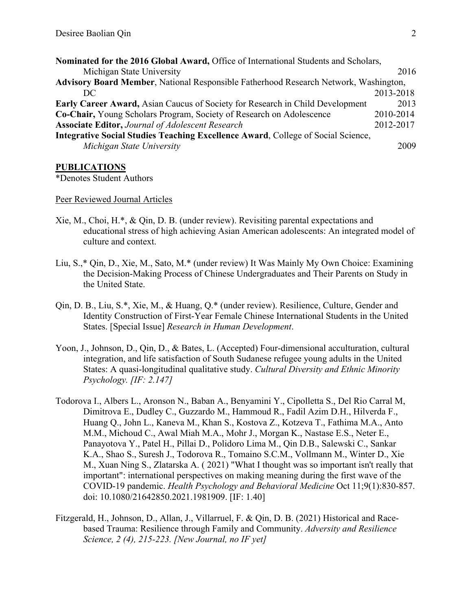| Nominated for the 2016 Global Award, Office of International Students and Scholars,         |           |
|---------------------------------------------------------------------------------------------|-----------|
| Michigan State University                                                                   | 2016      |
| <b>Advisory Board Member, National Responsible Fatherhood Research Network, Washington,</b> |           |
| DC                                                                                          | 2013-2018 |
| Early Career Award, Asian Caucus of Society for Research in Child Development               | 2013      |
| Co-Chair, Young Scholars Program, Society of Research on Adolescence                        | 2010-2014 |
| <b>Associate Editor, Journal of Adolescent Research</b>                                     | 2012-2017 |
| Integrative Social Studies Teaching Excellence Award, College of Social Science,            |           |
| Michigan State University                                                                   | 2009      |

#### **PUBLICATIONS**

\*Denotes Student Authors

#### Peer Reviewed Journal Articles

- Xie, M., Choi, H.\*, & Qin, D. B. (under review). Revisiting parental expectations and educational stress of high achieving Asian American adolescents: An integrated model of culture and context.
- Liu, S.,\* Qin, D., Xie, M., Sato, M.\* (under review) It Was Mainly My Own Choice: Examining the Decision-Making Process of Chinese Undergraduates and Their Parents on Study in the United State.
- Qin, D. B., Liu, S.\*, Xie, M., & Huang, Q.\* (under review). Resilience, Culture, Gender and Identity Construction of First-Year Female Chinese International Students in the United States. [Special Issue] *Research in Human Development*.
- Yoon, J., Johnson, D., Qin, D., & Bates, L. (Accepted) Four-dimensional acculturation, cultural integration, and life satisfaction of South Sudanese refugee young adults in the United States: A quasi-longitudinal qualitative study. *Cultural Diversity and Ethnic Minority Psychology. [IF: 2.147]*
- Todorova I., Albers L., Aronson N., Baban A., Benyamini Y., Cipolletta S., Del Rio Carral M, Dimitrova E., Dudley C., Guzzardo M., Hammoud R., Fadil Azim D.H., Hilverda F., Huang Q., John L., Kaneva M., Khan S., Kostova Z., Kotzeva T., Fathima M.A., Anto M.M., Michoud C., Awal Miah M.A., Mohr J., Morgan K., Nastase E.S., Neter E., Panayotova Y., Patel H., Pillai D., Polidoro Lima M., Qin D.B., Salewski C., Sankar K.A., Shao S., Suresh J., Todorova R., Tomaino S.C.M., Vollmann M., Winter D., Xie M., Xuan Ning S., Zlatarska A. ( 2021) "What I thought was so important isn't really that important": international perspectives on making meaning during the first wave of the COVID-19 pandemic. *Health Psychology and Behavioral Medicine* Oct 11;9(1):830-857. doi: 10.1080/21642850.2021.1981909. [IF: 1.40]
- Fitzgerald, H., Johnson, D., Allan, J., Villarruel, F. & Qin, D. B. (2021) Historical and Racebased Trauma: Resilience through Family and Community. *Adversity and Resilience Science, 2 (4), 215-223. [New Journal, no IF yet]*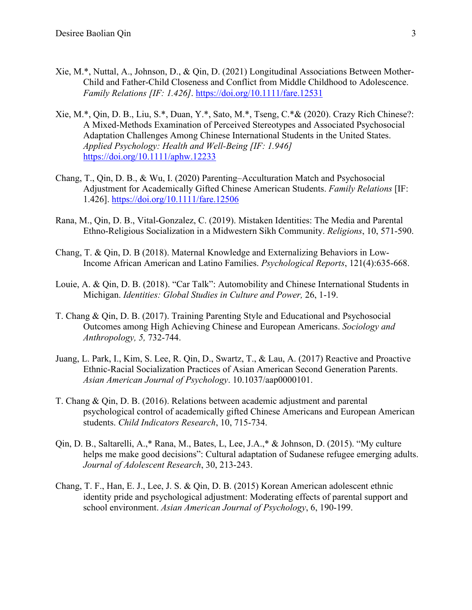- Xie, M.\*, Nuttal, A., Johnson, D., & Qin, D. (2021) Longitudinal Associations Between Mother-Child and Father-Child Closeness and Conflict from Middle Childhood to Adolescence. *Family Relations [IF: 1.426]*.<https://doi.org/10.1111/fare.12531>
- Xie, M.\*, Qin, D. B., Liu, S.\*, Duan, Y.\*, Sato, M.\*, Tseng, C.\*& (2020). Crazy Rich Chinese?: A Mixed-Methods Examination of Perceived Stereotypes and Associated Psychosocial Adaptation Challenges Among Chinese International Students in the United States. *Applied Psychology: Health and Well-Being [IF: 1.946]* <https://doi.org/10.1111/aphw.12233>
- Chang, T., Qin, D. B., & Wu, I. (2020) Parenting–Acculturation Match and Psychosocial Adjustment for Academically Gifted Chinese American Students. *Family Relations* [IF: 1.426].<https://doi.org/10.1111/fare.12506>
- Rana, M., Qin, D. B., Vital-Gonzalez, C. (2019). Mistaken Identities: The Media and Parental Ethno-Religious Socialization in a Midwestern Sikh Community. *Religions*, 10, 571-590.
- Chang, T. & Qin, D. B (2018). Maternal Knowledge and Externalizing Behaviors in Low-Income African American and Latino Families. *Psychological Reports*, 121(4):635-668.
- Louie, A. & Qin, D. B. (2018). "Car Talk": Automobility and Chinese International Students in Michigan. *Identities: Global Studies in Culture and Power,* 26, 1-19.
- T. Chang & Qin, D. B. (2017). Training Parenting Style and Educational and Psychosocial Outcomes among High Achieving Chinese and European Americans. *Sociology and Anthropology, 5,* 732-744.
- Juang, L. Park, I., Kim, S. Lee, R. Qin, D., Swartz, T., & Lau, A. (2017) Reactive and Proactive Ethnic-Racial Socialization Practices of Asian American Second Generation Parents. *Asian American Journal of Psychology*. 10.1037/aap0000101.
- T. Chang & Qin, D. B. (2016). Relations between academic adjustment and parental psychological control of academically gifted Chinese Americans and European American students. *Child Indicators Research*, 10, 715-734.
- Qin, D. B., Saltarelli, A.,\* Rana, M., Bates, L, Lee, J.A.,\* & Johnson, D. (2015). "My culture helps me make good decisions": Cultural adaptation of Sudanese refugee emerging adults. *Journal of Adolescent Research*, 30, 213-243.
- Chang, T. F., Han, E. J., Lee, J. S. & Qin, D. B. (2015) Korean American adolescent ethnic identity pride and psychological adjustment: Moderating effects of parental support and school environment. *Asian American Journal of Psychology*, 6, 190-199.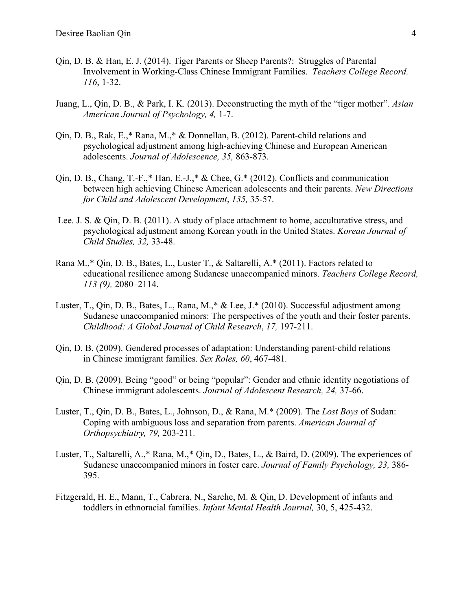- Qin, D. B. & Han, E. J. (2014). Tiger Parents or Sheep Parents?: Struggles of Parental Involvement in Working-Class Chinese Immigrant Families. *Teachers College Record. 116*, 1-32.
- Juang, L., Qin, D. B., & Park, I. K. (2013). Deconstructing the myth of the "tiger mother"*. Asian American Journal of Psychology, 4,* 1-7.
- Qin, D. B., Rak, E.,\* Rana, M.,\* & Donnellan, B. (2012). Parent-child relations and psychological adjustment among high-achieving Chinese and European American adolescents. *Journal of Adolescence, 35,* 863-873.
- Qin, D. B., Chang, T.-F.,\* Han, E.-J.,\* & Chee, G.\* (2012). Conflicts and communication between high achieving Chinese American adolescents and their parents. *New Directions for Child and Adolescent Development*, *135,* 35-57.
- Lee. J. S. & Qin, D. B. (2011). A study of place attachment to home, acculturative stress, and psychological adjustment among Korean youth in the United States. *Korean Journal of Child Studies, 32,* 33-48.
- Rana M.,\* Qin, D. B., Bates, L., Luster T., & Saltarelli, A.\* (2011). Factors related to educational resilience among Sudanese unaccompanied minors. *Teachers College Record, 113 (9),* 2080–2114.
- Luster, T., Qin, D. B., Bates, L., Rana, M.,\* & Lee, J.\* (2010). Successful adjustment among Sudanese unaccompanied minors: The perspectives of the youth and their foster parents. *Childhood: A Global Journal of Child Research*, *17,* 197-211.
- Qin, D. B. (2009). Gendered processes of adaptation: Understanding parent-child relations in Chinese immigrant families. *Sex Roles, 60*, 467-481*.*
- Qin, D. B. (2009). Being "good" or being "popular": Gender and ethnic identity negotiations of Chinese immigrant adolescents. *Journal of Adolescent Research, 24,* 37-66.
- Luster, T., Qin, D. B., Bates, L., Johnson, D., & Rana, M.\* (2009). The *Lost Boys* of Sudan: Coping with ambiguous loss and separation from parents. *American Journal of Orthopsychiatry, 79,* 203-211*.*
- Luster, T., Saltarelli, A.,\* Rana, M.,\* Qin, D., Bates, L., & Baird, D. (2009). The experiences of Sudanese unaccompanied minors in foster care. *Journal of Family Psychology, 23,* 386- 395.
- [Fitzgerald, H. E.,](https://scholars.opb.msu.edu/en/persons/hiram-e-fitzgerald-2) Mann, T., Cabrera, N., Sarche, M. & [Qin, D.](https://scholars.opb.msu.edu/en/persons/desiree-baolian-qin) [Development of infants and](https://scholars.opb.msu.edu/en/publications/development-of-infants-and-toddlers-in-ethnoracial-families-3)  [toddlers in ethnoracial families.](https://scholars.opb.msu.edu/en/publications/development-of-infants-and-toddlers-in-ethnoracial-families-3) *Infant Mental Health Journal,* 30, 5, 425-432.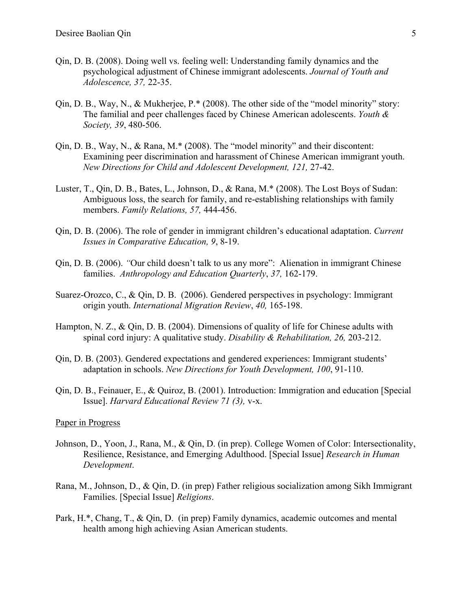- Qin, D. B. (2008). Doing well vs. feeling well: Understanding family dynamics and the psychological adjustment of Chinese immigrant adolescents. *Journal of Youth and Adolescence, 37,* 22-35.
- Qin, D. B., Way, N., & Mukherjee, P.\* (2008). The other side of the "model minority" story: The familial and peer challenges faced by Chinese American adolescents. *Youth & Society, 39*, 480-506.
- Qin, D. B., Way, N., & Rana, M.\* (2008). The "model minority" and their discontent: Examining peer discrimination and harassment of Chinese American immigrant youth. *New Directions for Child and Adolescent Development, 121,* 27-42.
- Luster, T., Qin, D. B., Bates, L., Johnson, D., & Rana, M.\* (2008). The Lost Boys of Sudan: Ambiguous loss, the search for family, and re-establishing relationships with family members. *Family Relations, 57,* 444-456.
- Qin, D. B. (2006). The role of gender in immigrant children's educational adaptation. *Current Issues in Comparative Education, 9*, 8-19.
- Qin, D. B. (2006). *"*Our child doesn't talk to us any more": Alienation in immigrant Chinese families. *Anthropology and Education Quarterly*, *37,* 162-179.
- Suarez-Orozco, C., & Qin, D. B. (2006). Gendered perspectives in psychology: Immigrant origin youth. *International Migration Review*, *40,* 165-198.
- Hampton, N. Z., & Qin, D. B. (2004). Dimensions of quality of life for Chinese adults with spinal cord injury: A qualitative study. *Disability & Rehabilitation, 26,* 203-212.
- Qin, D. B. (2003). Gendered expectations and gendered experiences: Immigrant students' adaptation in schools. *New Directions for Youth Development, 100*, 91-110.
- Qin, D. B., Feinauer, E., & Quiroz, B. (2001). Introduction: Immigration and education [Special Issue]. *Harvard Educational Review 71 (3),* v-x.

#### Paper in Progress

- Johnson, D., Yoon, J., Rana, M., & Qin, D. (in prep). College Women of Color: Intersectionality, Resilience, Resistance, and Emerging Adulthood. [Special Issue] *Research in Human Development*.
- Rana, M., Johnson, D., & Qin, D. (in prep) Father religious socialization among Sikh Immigrant Families. [Special Issue] *Religions*.
- Park, H.\*, Chang, T., & Qin, D. (in prep) Family dynamics, academic outcomes and mental health among high achieving Asian American students.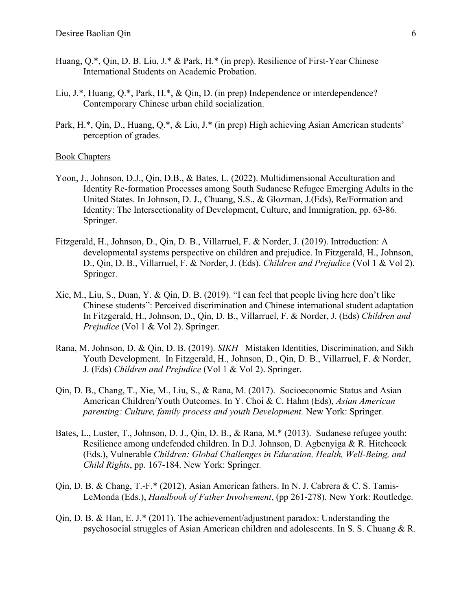- Huang, Q.\*, Qin, D. B. Liu, J.\* & Park, H.\* (in prep). Resilience of First-Year Chinese International Students on Academic Probation.
- Liu, J.\*, Huang, Q.\*, Park, H.\*, & Qin, D. (in prep) Independence or interdependence? Contemporary Chinese urban child socialization.
- Park, H.\*, Qin, D., Huang, Q.\*, & Liu, J.\* (in prep) High achieving Asian American students' perception of grades.

#### Book Chapters

- Yoon, J., Johnson, D.J., Qin, D.B., & Bates, L. (2022). Multidimensional Acculturation and Identity Re-formation Processes among South Sudanese Refugee Emerging Adults in the United States. In Johnson, D. J., Chuang, S.S., & Glozman, J.(Eds), Re/Formation and Identity: The Intersectionality of Development, Culture, and Immigration, pp. 63-86. Springer.
- Fitzgerald, H., Johnson, D., Qin, D. B., Villarruel, F. & Norder, J. (2019). Introduction: A developmental systems perspective on children and prejudice. In Fitzgerald, H., Johnson, D., Qin, D. B., Villarruel, F. & Norder, J. (Eds). *Children and Prejudice* (Vol 1 & Vol 2). Springer.
- Xie, M., Liu, S., Duan, Y. & Qin, D. B. (2019). "I can feel that people living here don't like Chinese students": Perceived discrimination and Chinese international student adaptation In Fitzgerald, H., Johnson, D., Qin, D. B., Villarruel, F. & Norder, J. (Eds) *Children and Prejudice* (Vol 1 & Vol 2). Springer.
- Rana, M. Johnson, D. & Qin, D. B. (2019). *SIKH* Mistaken Identities, Discrimination, and Sikh Youth Development. In Fitzgerald, H., Johnson, D., Qin, D. B., Villarruel, F. & Norder, J. (Eds) *Children and Prejudice* (Vol 1 & Vol 2). Springer.
- Qin, D. B., Chang, T., Xie, M., Liu, S., & Rana, M. (2017). Socioeconomic Status and Asian American Children/Youth Outcomes. In Y. Choi & C. Hahm (Eds), *Asian American parenting: Culture, family process and youth Development.* New York: Springer*.*
- Bates, L., Luster, T., Johnson, D. J., Qin, D. B., & Rana, M.\* (2013). Sudanese refugee youth: Resilience among undefended children. In D.J. Johnson, D. Agbenyiga & R. Hitchcock (Eds.), Vulnerable *Children: Global Challenges in Education, Health, Well-Being, and Child Rights*, pp. 167-184. New York: Springer*.*
- Qin, D. B. & Chang, T.-F.\* (2012). Asian American fathers. In N. J. Cabrera & C. S. Tamis-LeMonda (Eds.), *Handbook of Father Involvement*, (pp 261-278)*.* New York: Routledge.
- $\text{Oin}$ , D. B. & Han, E. J.\* (2011). The achievement/adjustment paradox: Understanding the psychosocial struggles of Asian American children and adolescents. In S. S. Chuang & R.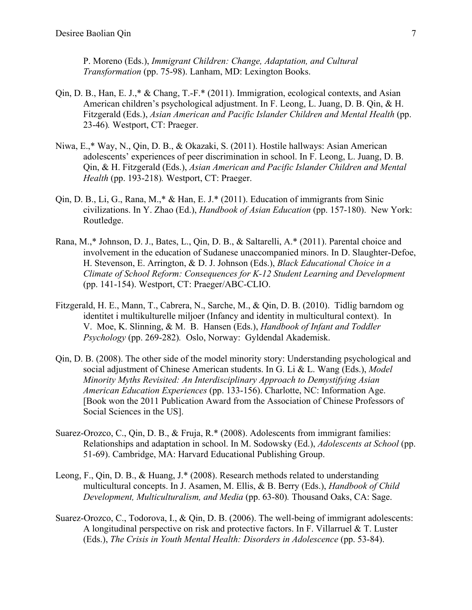P. Moreno (Eds.), *Immigrant Children: Change, Adaptation, and Cultural Transformation* (pp. 75-98). Lanham, MD: Lexington Books.

- Qin, D. B., Han, E. J.,\* & Chang, T.-F.\* (2011). Immigration, ecological contexts, and Asian American children's psychological adjustment. In F. Leong, L. Juang, D. B. Qin, & H. Fitzgerald (Eds.), *Asian American and Pacific Islander Children and Mental Health* (pp. 23-46)*.* Westport, CT: Praeger.
- Niwa, E.,\* Way, N., Qin, D. B., & Okazaki, S. (2011). Hostile hallways: Asian American adolescents' experiences of peer discrimination in school. In F. Leong, L. Juang, D. B. Qin, & H. Fitzgerald (Eds.), *Asian American and Pacific Islander Children and Mental Health* (pp. 193-218)*.* Westport, CT: Praeger.
- Qin, D. B., Li, G., Rana, M.,\* & Han, E. J.\* (2011). Education of immigrants from Sinic civilizations. In Y. Zhao (Ed.), *Handbook of Asian Education* (pp. 157-180). New York: Routledge.
- Rana, M.,\* Johnson, D. J., Bates, L., Qin, D. B., & Saltarelli, A.\* (2011). Parental choice and involvement in the education of Sudanese unaccompanied minors. In D. Slaughter-Defoe, H. Stevenson, E. Arrington, & D. J. Johnson (Eds.), *Black Educational Choice in a Climate of School Reform: Consequences for K-12 Student Learning and Development*  (pp. 141-154). Westport, CT: Praeger/ABC-CLIO.
- Fitzgerald, H. E., Mann, T., Cabrera, N., Sarche, M., & Qin, D. B. (2010). Tidlig barndom og identitet i multikulturelle miljoer (Infancy and identity in multicultural context). In V. Moe, K. Slinning, & M. B. Hansen (Eds.), *Handbook of Infant and Toddler Psychology* (pp. 269-282)*.* Oslo, Norway: Gyldendal Akademisk.
- Qin, D. B. (2008). The other side of the model minority story: Understanding psychological and social adjustment of Chinese American students. In G. Li & L. Wang (Eds.), *Model Minority Myths Revisited: An Interdisciplinary Approach to Demystifying Asian American Education Experiences* (pp. 133-156). Charlotte, NC: Information Age. [Book won the 2011 Publication Award from the Association of Chinese Professors of Social Sciences in the US].
- Suarez-Orozco, C., Qin, D. B., & Fruja, R.\* (2008). Adolescents from immigrant families: Relationships and adaptation in school. In M. Sodowsky (Ed.), *Adolescents at School* (pp. 51-69). Cambridge, MA: Harvard Educational Publishing Group.
- Leong, F., Qin, D. B., & Huang, J.\* (2008). Research methods related to understanding multicultural concepts. In J. Asamen, M. Ellis, & B. Berry (Eds.), *Handbook of Child Development, Multiculturalism, and Media* (pp. 63-80)*.* Thousand Oaks, CA: Sage.
- Suarez-Orozco, C., Todorova, I., & Qin, D. B. (2006). The well-being of immigrant adolescents: A longitudinal perspective on risk and protective factors. In F. Villarruel  $&$  T. Luster (Eds.), *The Crisis in Youth Mental Health: Disorders in Adolescence* (pp. 53-84).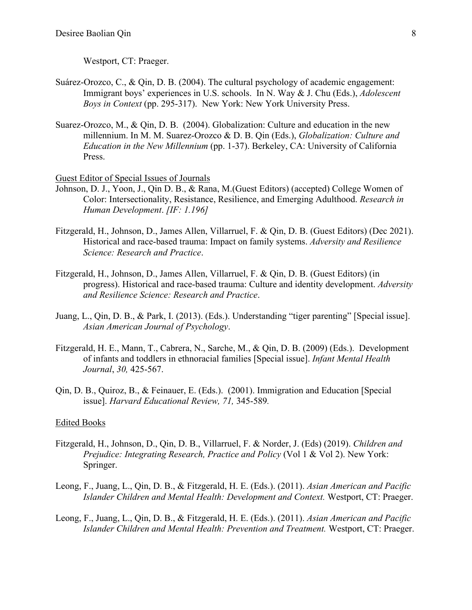Westport, CT: Praeger.

- Suárez-Orozco, C., & Qin, D. B. (2004). The cultural psychology of academic engagement: Immigrant boys' experiences in U.S. schools. In N. Way & J. Chu (Eds.), *Adolescent Boys in Context* (pp. 295-317). New York: New York University Press.
- Suarez-Orozco, M., & Qin, D. B. (2004). Globalization: Culture and education in the new millennium. In M. M. Suarez-Orozco & D. B. Qin (Eds.), *Globalization: Culture and Education in the New Millennium* (pp. 1-37). Berkeley, CA: University of California Press.

Guest Editor of Special Issues of Journals

- Johnson, D. J., Yoon, J., Qin D. B., & Rana, M.(Guest Editors) (accepted) College Women of Color: Intersectionality, Resistance, Resilience, and Emerging Adulthood. *Research in Human Development*. *[IF: 1.196]*
- Fitzgerald, H., Johnson, D., James Allen, Villarruel, F. & Qin, D. B. (Guest Editors) (Dec 2021). Historical and race-based trauma: Impact on family systems. *Adversity and Resilience Science: Research and Practice*.
- Fitzgerald, H., Johnson, D., James Allen, Villarruel, F. & Qin, D. B. (Guest Editors) (in progress). Historical and race-based trauma: Culture and identity development. *Adversity and Resilience Science: Research and Practice*.
- Juang, L., Qin, D. B., & Park, I. (2013). (Eds.). Understanding "tiger parenting" [Special issue]. *Asian American Journal of Psychology*.
- Fitzgerald, H. E., Mann, T., Cabrera, N., Sarche, M., & Qin, D. B. (2009) (Eds.). Development of infants and toddlers in ethnoracial families [Special issue]. *Infant Mental Health Journal*, *30,* 425-567.
- Qin, D. B., Quiroz, B., & Feinauer, E. (Eds.). (2001). Immigration and Education [Special issue]. *Harvard Educational Review, 71,* 345-589*.*

#### Edited Books

- Fitzgerald, H., Johnson, D., Qin, D. B., Villarruel, F. & Norder, J. (Eds) (2019). *Children and Prejudice: Integrating Research, Practice and Policy* (Vol 1 & Vol 2). New York: Springer.
- Leong, F., Juang, L., Qin, D. B., & Fitzgerald, H. E. (Eds.). (2011). *Asian American and Pacific Islander Children and Mental Health: Development and Context.* Westport, CT: Praeger.
- Leong, F., Juang, L., Qin, D. B., & Fitzgerald, H. E. (Eds.). (2011). *Asian American and Pacific Islander Children and Mental Health: Prevention and Treatment.* Westport, CT: Praeger.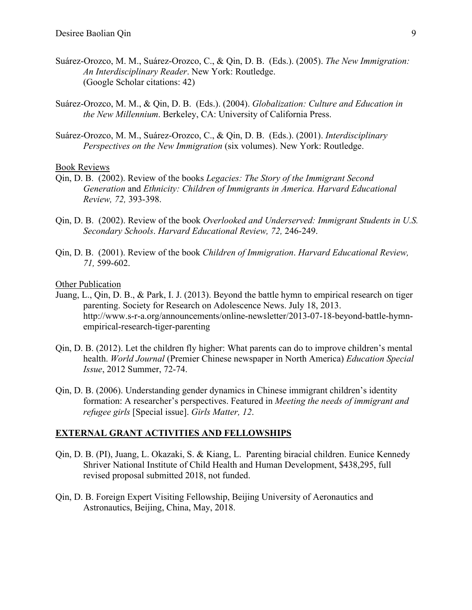- Suárez-Orozco, M. M., Suárez-Orozco, C., & Qin, D. B. (Eds.). (2005). *The New Immigration: An Interdisciplinary Reader*. New York: Routledge. (Google Scholar citations: 42)
- Suárez-Orozco, M. M., & Qin, D. B. (Eds.). (2004). *Globalization: Culture and Education in the New Millennium*. Berkeley, CA: University of California Press.
- Suárez-Orozco, M. M., Suárez-Orozco, C., & Qin, D. B. (Eds.). (2001). *Interdisciplinary Perspectives on the New Immigration (six volumes). New York: Routledge.*

#### Book Reviews

- Qin, D. B. (2002). Review of the books *Legacies: The Story of the Immigrant Second Generation* and *Ethnicity: Children of Immigrants in America. Harvard Educational Review, 72,* 393-398.
- Qin, D. B. (2002). Review of the book *Overlooked and Underserved: Immigrant Students in U.S. Secondary Schools*. *Harvard Educational Review, 72,* 246-249.
- Qin, D. B. (2001). Review of the book *Children of Immigration*. *Harvard Educational Review, 71,* 599-602.

#### Other Publication

- Juang, L., Qin, D. B., & Park, I. J. (2013). Beyond the battle hymn to empirical research on tiger parenting. Society for Research on Adolescence News. July 18, 2013. http://www.s-r-a.org/announcements/online-newsletter/2013-07-18-beyond-battle-hymnempirical-research-tiger-parenting
- Qin, D. B. (2012). Let the children fly higher: What parents can do to improve children's mental health. *World Journal* (Premier Chinese newspaper in North America) *Education Special Issue*, 2012 Summer, 72-74.
- Qin, D. B. (2006). Understanding gender dynamics in Chinese immigrant children's identity formation: A researcher's perspectives. Featured in *Meeting the needs of immigrant and refugee girls* [Special issue]. *Girls Matter, 12*.

#### **EXTERNAL GRANT ACTIVITIES AND FELLOWSHIPS**

- Qin, D. B. (PI), Juang, L. Okazaki, S. & Kiang, L. Parenting biracial children. Eunice Kennedy Shriver National Institute of Child Health and Human Development, \$438,295, full revised proposal submitted 2018, not funded.
- Qin, D. B. Foreign Expert Visiting Fellowship, Beijing University of Aeronautics and Astronautics, Beijing, China, May, 2018.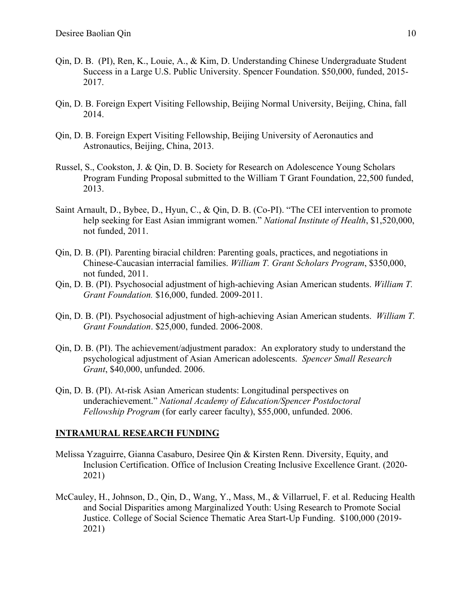- Qin, D. B. (PI), Ren, K., Louie, A., & Kim, D. Understanding Chinese Undergraduate Student Success in a Large U.S. Public University. Spencer Foundation. \$50,000, funded, 2015- 2017.
- Qin, D. B. Foreign Expert Visiting Fellowship, Beijing Normal University, Beijing, China, fall 2014.
- Qin, D. B. Foreign Expert Visiting Fellowship, Beijing University of Aeronautics and Astronautics, Beijing, China, 2013.
- Russel, S., Cookston, J. & Qin, D. B. Society for Research on Adolescence Young Scholars Program Funding Proposal submitted to the William T Grant Foundation, 22,500 funded, 2013.
- Saint Arnault, D., Bybee, D., Hyun, C., & Qin, D. B. (Co-PI). "The CEI intervention to promote help seeking for East Asian immigrant women." *National Institute of Health*, \$1,520,000, not funded, 2011.
- Qin, D. B. (PI). Parenting biracial children: Parenting goals, practices, and negotiations in Chinese-Caucasian interracial families. *William T. Grant Scholars Program*, \$350,000, not funded, 2011.
- Qin, D. B. (PI). Psychosocial adjustment of high-achieving Asian American students. *William T. Grant Foundation.* \$16,000, funded. 2009-2011.
- Qin, D. B. (PI). Psychosocial adjustment of high-achieving Asian American students. *William T. Grant Foundation*. \$25,000, funded. 2006-2008.
- Qin, D. B. (PI). The achievement/adjustment paradox: An exploratory study to understand the psychological adjustment of Asian American adolescents. *Spencer Small Research Grant*, \$40,000, unfunded. 2006.
- Qin, D. B. (PI). At-risk Asian American students: Longitudinal perspectives on underachievement." *National Academy of Education/Spencer Postdoctoral Fellowship Program* (for early career faculty), \$55,000, unfunded. 2006.

#### **INTRAMURAL RESEARCH FUNDING**

- Melissa Yzaguirre, Gianna Casaburo, Desiree Qin & Kirsten Renn. Diversity, Equity, and Inclusion Certification. Office of Inclusion Creating Inclusive Excellence Grant. (2020- 2021)
- McCauley, H., Johnson, D., Qin, D., Wang, Y., Mass, M., & Villarruel, F. et al. Reducing Health and Social Disparities among Marginalized Youth: Using Research to Promote Social Justice. College of Social Science Thematic Area Start-Up Funding. \$100,000 (2019- 2021)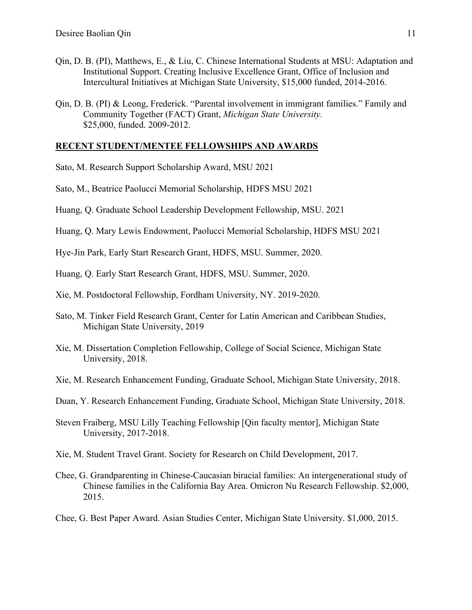- Qin, D. B. (PI), Matthews, E., & Liu, C. Chinese International Students at MSU: Adaptation and Institutional Support. Creating Inclusive Excellence Grant, Office of Inclusion and Intercultural Initiatives at Michigan State University, \$15,000 funded, 2014-2016.
- Qin, D. B. (PI) & Leong, Frederick. "Parental involvement in immigrant families." Family and Community Together (FACT) Grant, *Michigan State University.*  \$25,000, funded. 2009-2012.

## **RECENT STUDENT/MENTEE FELLOWSHIPS AND AWARDS**

- Sato, M. Research Support Scholarship Award, MSU 2021
- Sato, M., Beatrice Paolucci Memorial Scholarship, HDFS MSU 2021
- Huang, Q. Graduate School Leadership Development Fellowship, MSU. 2021
- Huang, Q. Mary Lewis Endowment, Paolucci Memorial Scholarship, HDFS MSU 2021

Hye-Jin Park, Early Start Research Grant, HDFS, MSU. Summer, 2020.

Huang, Q. Early Start Research Grant, HDFS, MSU. Summer, 2020.

- Xie, M. Postdoctoral Fellowship, Fordham University, NY. 2019-2020.
- Sato, M. Tinker Field Research Grant, Center for Latin American and Caribbean Studies, Michigan State University, 2019
- Xie, M. Dissertation Completion Fellowship, College of Social Science, Michigan State University, 2018.
- Xie, M. Research Enhancement Funding, Graduate School, Michigan State University, 2018.
- Duan, Y. Research Enhancement Funding, Graduate School, Michigan State University, 2018.
- Steven Fraiberg, MSU Lilly Teaching Fellowship [Qin faculty mentor], Michigan State University, 2017-2018.
- Xie, M. Student Travel Grant. Society for Research on Child Development, 2017.
- Chee, G. Grandparenting in Chinese-Caucasian biracial families: An intergenerational study of Chinese families in the California Bay Area. Omicron Nu Research Fellowship. \$2,000, 2015.
- Chee, G. Best Paper Award. Asian Studies Center, Michigan State University. \$1,000, 2015.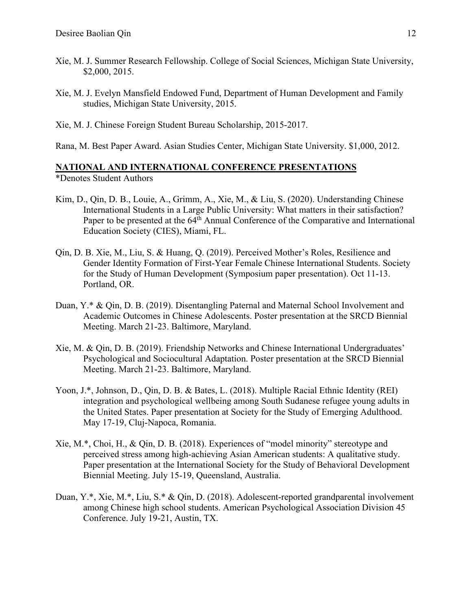- Xie, M. J. Summer Research Fellowship. College of Social Sciences, Michigan State University, \$2,000, 2015.
- Xie, M. J. Evelyn Mansfield Endowed Fund, Department of Human Development and Family studies, Michigan State University, 2015.
- Xie, M. J. Chinese Foreign Student Bureau Scholarship, 2015-2017.
- Rana, M. Best Paper Award. Asian Studies Center, Michigan State University. \$1,000, 2012.

# **NATIONAL AND INTERNATIONAL CONFERENCE PRESENTATIONS**

\*Denotes Student Authors

- Kim, D., Qin, D. B., Louie, A., Grimm, A., Xie, M., & Liu, S. (2020). Understanding Chinese International Students in a Large Public University: What matters in their satisfaction? Paper to be presented at the 64<sup>th</sup> Annual Conference of the Comparative and International Education Society (CIES), Miami, FL.
- Qin, D. B. Xie, M., Liu, S. & Huang, Q. (2019). Perceived Mother's Roles, Resilience and Gender Identity Formation of First-Year Female Chinese International Students. Society for the Study of Human Development (Symposium paper presentation). Oct 11-13. Portland, OR.
- Duan, Y.\* & Qin, D. B. (2019). Disentangling Paternal and Maternal School Involvement and Academic Outcomes in Chinese Adolescents. Poster presentation at the SRCD Biennial Meeting. March 21-23. Baltimore, Maryland.
- Xie, M. & Qin, D. B. (2019). Friendship Networks and Chinese International Undergraduates' Psychological and Sociocultural Adaptation. Poster presentation at the SRCD Biennial Meeting. March 21-23. Baltimore, Maryland.
- Yoon, J.\*, Johnson, D., Qin, D. B. & Bates, L. (2018). Multiple Racial Ethnic Identity (REI) integration and psychological wellbeing among South Sudanese refugee young adults in the United States. Paper presentation at Society for the Study of Emerging Adulthood. May 17-19, Cluj-Napoca, Romania.
- Xie, M.\*, Choi, H., & Qin, D. B. (2018). Experiences of "model minority" stereotype and perceived stress among high-achieving Asian American students: A qualitative study. Paper presentation at the International Society for the Study of Behavioral Development Biennial Meeting. July 15-19, Queensland, Australia.
- Duan, Y.\*, Xie, M.\*, Liu, S.\* & Qin, D. (2018). Adolescent-reported grandparental involvement among Chinese high school students. American Psychological Association Division 45 Conference. July 19-21, Austin, TX.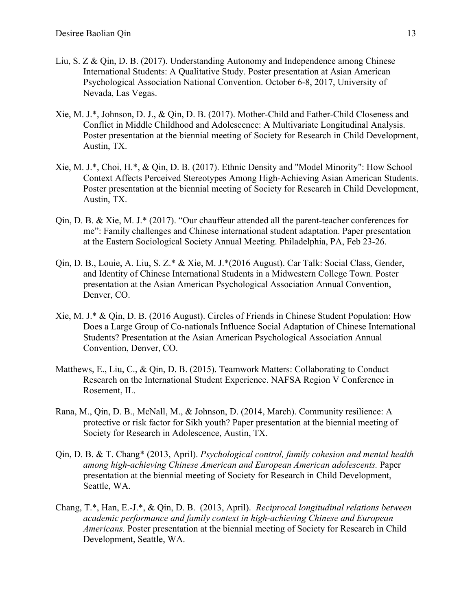- Liu, S. Z & Qin, D. B. (2017). Understanding Autonomy and Independence among Chinese International Students: A Qualitative Study. Poster presentation at Asian American Psychological Association National Convention. October 6-8, 2017, University of Nevada, Las Vegas.
- Xie, M. J.\*, Johnson, D. J., & Qin, D. B. (2017). Mother-Child and Father-Child Closeness and Conflict in Middle Childhood and Adolescence: A Multivariate Longitudinal Analysis. Poster presentation at the biennial meeting of Society for Research in Child Development, Austin, TX.
- Xie, M. J.\*, Choi, H.\*, & Qin, D. B. (2017). Ethnic Density and "Model Minority": How School Context Affects Perceived Stereotypes Among High-Achieving Asian American Students. Poster presentation at the biennial meeting of Society for Research in Child Development, Austin, TX.
- Qin, D. B. & Xie, M. J.\* (2017). "Our chauffeur attended all the parent-teacher conferences for me": Family challenges and Chinese international student adaptation. Paper presentation at the Eastern Sociological Society Annual Meeting. Philadelphia, PA, Feb 23-26.
- Qin, D. B., Louie, A. Liu, S. Z.\* & Xie, M. J.\*(2016 August). Car Talk: Social Class, Gender, and Identity of Chinese International Students in a Midwestern College Town. Poster presentation at the Asian American Psychological Association Annual Convention, Denver, CO.
- Xie, M. J.\* & Qin, D. B. (2016 August). Circles of Friends in Chinese Student Population: How Does a Large Group of Co-nationals Influence Social Adaptation of Chinese International Students? Presentation at the Asian American Psychological Association Annual Convention, Denver, CO.
- Matthews, E., Liu, C., & Qin, D. B. (2015). Teamwork Matters: Collaborating to Conduct Research on the International Student Experience. NAFSA Region V Conference in Rosement, IL.
- Rana, M., Qin, D. B., McNall, M., & Johnson, D. (2014, March). Community resilience: A protective or risk factor for Sikh youth? Paper presentation at the biennial meeting of Society for Research in Adolescence, Austin, TX.
- Qin, D. B. & T. Chang\* (2013, April). *Psychological control, family cohesion and mental health among high-achieving Chinese American and European American adolescents.* Paper presentation at the biennial meeting of Society for Research in Child Development, Seattle, WA.
- Chang, T.\*, Han, E.-J.\*, & Qin, D. B. (2013, April). *Reciprocal longitudinal relations between academic performance and family context in high-achieving Chinese and European Americans.* Poster presentation at the biennial meeting of Society for Research in Child Development, Seattle, WA.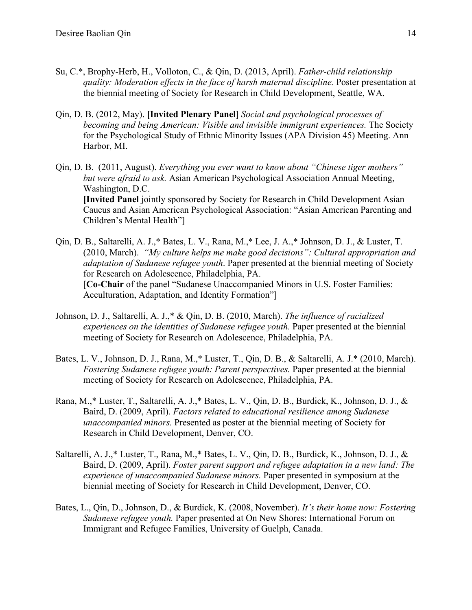- Su, C.\*, Brophy-Herb, H., Volloton, C., & Qin, D. (2013, April). *Father-child relationship quality: Moderation effects in the face of harsh maternal discipline.* Poster presentation at the biennial meeting of Society for Research in Child Development, Seattle, WA.
- Qin, D. B. (2012, May). **[Invited Plenary Panel]** *Social and psychological processes of becoming and being American: Visible and invisible immigrant experiences.* The Society for the Psychological Study of Ethnic Minority Issues (APA Division 45) Meeting. Ann Harbor, MI.
- Qin, D. B. (2011, August). *Everything you ever want to know about "Chinese tiger mothers" but were afraid to ask.* Asian American Psychological Association Annual Meeting, Washington, D.C. **[Invited Panel** jointly sponsored by Society for Research in Child Development Asian Caucus and Asian American Psychological Association: "Asian American Parenting and Children's Mental Health"]
- Qin, D. B., Saltarelli, A. J.,\* Bates, L. V., Rana, M.,\* Lee, J. A.,\* Johnson, D. J., & Luster, T. (2010, March). *"My culture helps me make good decisions": Cultural appropriation and adaptation of Sudanese refugee youth*. Paper presented at the biennial meeting of Society for Research on Adolescence, Philadelphia, PA. [**Co-Chair** of the panel "Sudanese Unaccompanied Minors in U.S. Foster Families: Acculturation, Adaptation, and Identity Formation"]
- Johnson, D. J., Saltarelli, A. J.,\* & Qin, D. B. (2010, March). *The influence of racialized experiences on the identities of Sudanese refugee youth.* Paper presented at the biennial meeting of Society for Research on Adolescence, Philadelphia, PA.
- Bates, L. V., Johnson, D. J., Rana, M.,\* Luster, T., Qin, D. B., & Saltarelli, A. J.\* (2010, March). *Fostering Sudanese refugee youth: Parent perspectives.* Paper presented at the biennial meeting of Society for Research on Adolescence, Philadelphia, PA.
- Rana, M.,\* Luster, T., Saltarelli, A. J.,\* Bates, L. V., Qin, D. B., Burdick, K., Johnson, D. J., & Baird, D. (2009, April). *Factors related to educational resilience among Sudanese unaccompanied minors.* Presented as poster at the biennial meeting of Society for Research in Child Development, Denver, CO.
- Saltarelli, A. J.,\* Luster, T., Rana, M.,\* Bates, L. V., Qin, D. B., Burdick, K., Johnson, D. J., & Baird, D. (2009, April). *Foster parent support and refugee adaptation in a new land: The experience of unaccompanied Sudanese minors.* Paper presented in symposium at the biennial meeting of Society for Research in Child Development, Denver, CO.
- Bates, L., Qin, D., Johnson, D., & Burdick, K. (2008, November). *It's their home now: Fostering Sudanese refugee youth.* Paper presented at On New Shores: International Forum on Immigrant and Refugee Families, University of Guelph, Canada.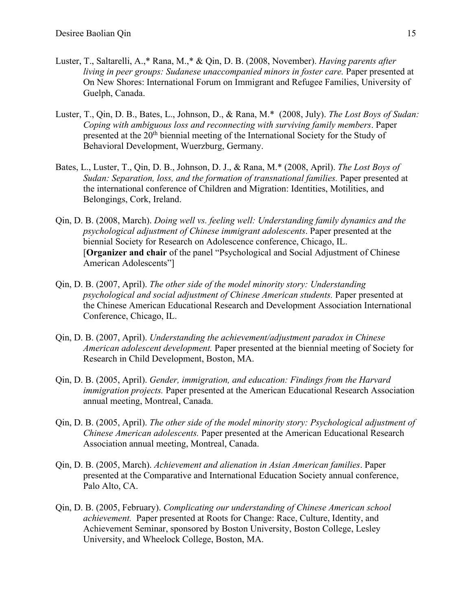- Luster, T., Saltarelli, A.,\* Rana, M.,\* & Qin, D. B. (2008, November). *Having parents after living in peer groups: Sudanese unaccompanied minors in foster care.* Paper presented at On New Shores: International Forum on Immigrant and Refugee Families, University of Guelph, Canada.
- Luster, T., Qin, D. B., Bates, L., Johnson, D., & Rana, M.\* (2008, July). *The Lost Boys of Sudan: Coping with ambiguous loss and reconnecting with surviving family members*. Paper presented at the 20<sup>th</sup> biennial meeting of the International Society for the Study of Behavioral Development, Wuerzburg, Germany.
- Bates, L., Luster, T., Qin, D. B., Johnson, D. J., & Rana, M.\* (2008, April). *The Lost Boys of Sudan: Separation, loss, and the formation of transnational families.* Paper presented at the international conference of Children and Migration: Identities, Motilities, and Belongings, Cork, Ireland.
- Qin, D. B. (2008, March). *Doing well vs. feeling well: Understanding family dynamics and the psychological adjustment of Chinese immigrant adolescents*. Paper presented at the biennial Society for Research on Adolescence conference, Chicago, IL. [**Organizer and chair** of the panel "Psychological and Social Adjustment of Chinese American Adolescents"]
- Qin, D. B. (2007, April). *The other side of the model minority story: Understanding psychological and social adjustment of Chinese American students.* Paper presented at the Chinese American Educational Research and Development Association International Conference, Chicago, IL.
- Qin, D. B. (2007, April). *Understanding the achievement/adjustment paradox in Chinese American adolescent development.* Paper presented at the biennial meeting of Society for Research in Child Development, Boston, MA.
- Qin, D. B. (2005, April). *Gender, immigration, and education: Findings from the Harvard immigration projects.* Paper presented at the American Educational Research Association annual meeting, Montreal, Canada.
- Qin, D. B. (2005, April). *The other side of the model minority story: Psychological adjustment of Chinese American adolescents.* Paper presented at the American Educational Research Association annual meeting, Montreal, Canada.
- Qin, D. B. (2005, March). *Achievement and alienation in Asian American families*. Paper presented at the Comparative and International Education Society annual conference, Palo Alto, CA.
- Qin, D. B. (2005, February). *Complicating our understanding of Chinese American school achievement.* Paper presented at Roots for Change: Race, Culture, Identity, and Achievement Seminar, sponsored by Boston University, Boston College, Lesley University, and Wheelock College, Boston, MA.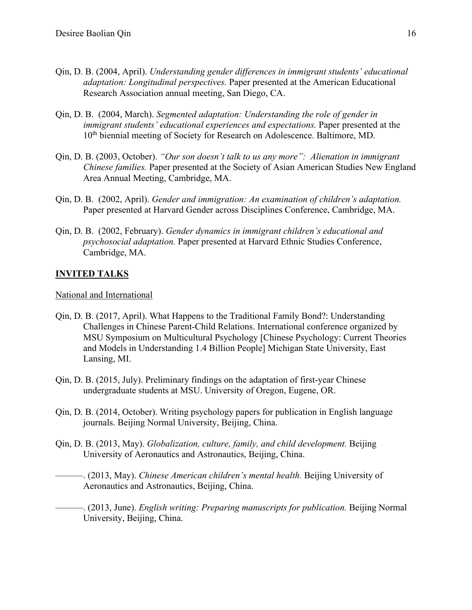- Qin, D. B. (2004, April). *Understanding gender differences in immigrant students' educational adaptation: Longitudinal perspectives.* Paper presented at the American Educational Research Association annual meeting, San Diego, CA.
- Qin, D. B. (2004, March). *Segmented adaptation: Understanding the role of gender in immigrant students' educational experiences and expectations.* Paper presented at the 10<sup>th</sup> biennial meeting of Society for Research on Adolescence. Baltimore, MD.
- Qin, D. B. (2003, October). *"Our son doesn't talk to us any more": Alienation in immigrant Chinese families.* Paper presented at the Society of Asian American Studies New England Area Annual Meeting, Cambridge, MA.
- Qin, D. B. (2002, April). *Gender and immigration: An examination of children's adaptation.*  Paper presented at Harvard Gender across Disciplines Conference, Cambridge, MA.
- Qin, D. B. (2002, February). *Gender dynamics in immigrant children's educational and psychosocial adaptation.* Paper presented at Harvard Ethnic Studies Conference, Cambridge, MA.

# **INVITED TALKS**

## National and International

- Qin, D. B. (2017, April). What Happens to the Traditional Family Bond?: Understanding Challenges in Chinese Parent-Child Relations. International conference organized by MSU Symposium on Multicultural Psychology [Chinese Psychology: Current Theories and Models in Understanding 1.4 Billion People] Michigan State University, East Lansing, MI.
- Qin, D. B. (2015, July). Preliminary findings on the adaptation of first-year Chinese undergraduate students at MSU. University of Oregon, Eugene, OR.
- Qin, D. B. (2014, October). Writing psychology papers for publication in English language journals. Beijing Normal University, Beijing, China.
- Qin, D. B. (2013, May). *Globalization, culture, family, and child development.* Beijing University of Aeronautics and Astronautics, Beijing, China.

———. (2013, May). *Chinese American children's mental health.* Beijing University of Aeronautics and Astronautics, Beijing, China.

———. (2013, June). *English writing: Preparing manuscripts for publication.* Beijing Normal University, Beijing, China.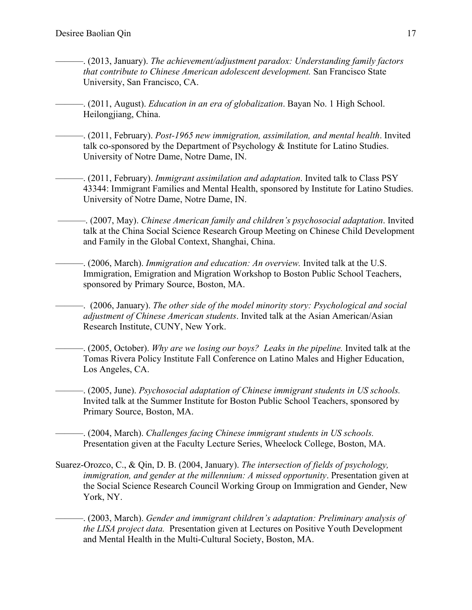- ———. (2013, January). *The achievement/adjustment paradox: Understanding family factors that contribute to Chinese American adolescent development.* San Francisco State University, San Francisco, CA.
- ———. (2011, August). *Education in an era of globalization*. Bayan No. 1 High School. Heilongjiang, China.
- ———. (2011, February). *Post-1965 new immigration, assimilation, and mental health*. Invited talk co-sponsored by the Department of Psychology & Institute for Latino Studies. University of Notre Dame, Notre Dame, IN.
- ———. (2011, February). *Immigrant assimilation and adaptation*. Invited talk to Class PSY 43344: Immigrant Families and Mental Health, sponsored by Institute for Latino Studies. University of Notre Dame, Notre Dame, IN.
	- ———. (2007, May). *Chinese American family and children's psychosocial adaptation*. Invited talk at the China Social Science Research Group Meeting on Chinese Child Development and Family in the Global Context, Shanghai, China.
	- ———. (2006, March). *Immigration and education: An overview.* Invited talk at the U.S. Immigration, Emigration and Migration Workshop to Boston Public School Teachers, sponsored by Primary Source, Boston, MA.
	- ———. (2006, January). *The other side of the model minority story: Psychological and social adjustment of Chinese American students*. Invited talk at the Asian American/Asian Research Institute, CUNY, New York.
	- ———. (2005, October). *Why are we losing our boys? Leaks in the pipeline.* Invited talk at the Tomas Rivera Policy Institute Fall Conference on Latino Males and Higher Education, Los Angeles, CA.
	- ———. (2005, June). *Psychosocial adaptation of Chinese immigrant students in US schools.* Invited talk at the Summer Institute for Boston Public School Teachers, sponsored by Primary Source, Boston, MA.
- ———. (2004, March). *Challenges facing Chinese immigrant students in US schools.* Presentation given at the Faculty Lecture Series, Wheelock College, Boston, MA.
- Suarez-Orozco, C., & Qin, D. B. (2004, January). *The intersection of fields of psychology, immigration, and gender at the millennium: A missed opportunity*. Presentation given at the Social Science Research Council Working Group on Immigration and Gender, New York, NY.
	- ———. (2003, March). *Gender and immigrant children's adaptation: Preliminary analysis of the LISA project data.* Presentation given at Lectures on Positive Youth Development and Mental Health in the Multi-Cultural Society, Boston, MA.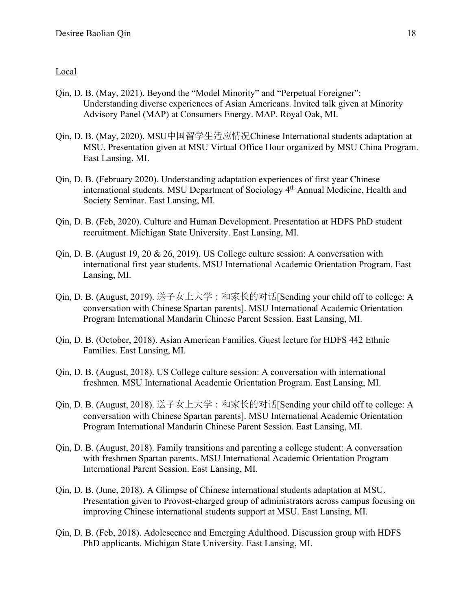## Local

- Qin, D. B. (May, 2021). Beyond the "Model Minority" and "Perpetual Foreigner": Understanding diverse experiences of Asian Americans. Invited talk given at Minority Advisory Panel (MAP) at Consumers Energy. MAP. Royal Oak, MI.
- Qin, D. B. (May, 2020). MSU中国留学生适应情况Chinese International students adaptation at MSU. Presentation given at MSU Virtual Office Hour organized by MSU China Program. East Lansing, MI.
- Qin, D. B. (February 2020). Understanding adaptation experiences of first year Chinese international students. MSU Department of Sociology 4<sup>th</sup> Annual Medicine, Health and Society Seminar. East Lansing, MI.
- Qin, D. B. (Feb, 2020). Culture and Human Development. Presentation at HDFS PhD student recruitment. Michigan State University. East Lansing, MI.
- Qin, D. B. (August 19, 20 & 26, 2019). US College culture session: A conversation with international first year students. MSU International Academic Orientation Program. East Lansing, MI.
- Qin, D. B. (August, 2019). 送子女上大学:和家长的对话[Sending your child off to college: A conversation with Chinese Spartan parents]. MSU International Academic Orientation Program International Mandarin Chinese Parent Session. East Lansing, MI.
- Qin, D. B. (October, 2018). Asian American Families. Guest lecture for HDFS 442 Ethnic Families. East Lansing, MI.
- Qin, D. B. (August, 2018). US College culture session: A conversation with international freshmen. MSU International Academic Orientation Program. East Lansing, MI.
- Qin, D. B. (August, 2018). 送子女上大学:和家长的对话[Sending your child off to college: A conversation with Chinese Spartan parents]. MSU International Academic Orientation Program International Mandarin Chinese Parent Session. East Lansing, MI.
- Qin, D. B. (August, 2018). Family transitions and parenting a college student: A conversation with freshmen Spartan parents. MSU International Academic Orientation Program International Parent Session. East Lansing, MI.
- Qin, D. B. (June, 2018). A Glimpse of Chinese international students adaptation at MSU. Presentation given to Provost-charged group of administrators across campus focusing on improving Chinese international students support at MSU. East Lansing, MI.
- Qin, D. B. (Feb, 2018). Adolescence and Emerging Adulthood. Discussion group with HDFS PhD applicants. Michigan State University. East Lansing, MI.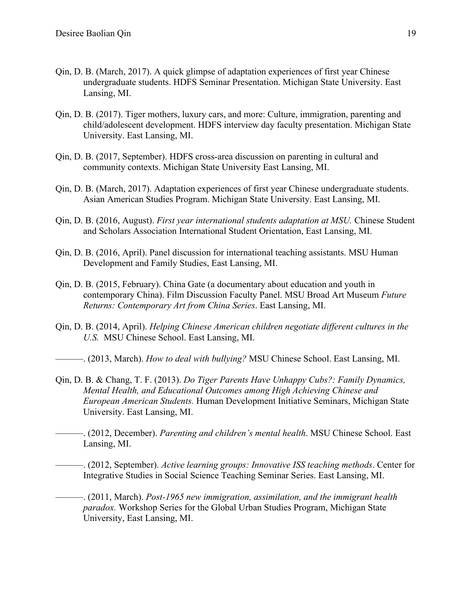- Qin, D. B. (March, 2017). A quick glimpse of adaptation experiences of first year Chinese undergraduate students. HDFS Seminar Presentation. Michigan State University. East Lansing, MI.
- Qin, D. B. (2017). Tiger mothers, luxury cars, and more: Culture, immigration, parenting and child/adolescent development. HDFS interview day faculty presentation. Michigan State University. East Lansing, MI.
- Qin, D. B. (2017, September). HDFS cross-area discussion on parenting in cultural and community contexts. Michigan State University East Lansing, MI.
- Qin, D. B. (March, 2017). Adaptation experiences of first year Chinese undergraduate students. Asian American Studies Program. Michigan State University. East Lansing, MI.
- Qin, D. B. (2016, August). *First year international students adaptation at MSU.* Chinese Student and Scholars Association International Student Orientation, East Lansing, MI.
- Qin, D. B. (2016, April). Panel discussion for international teaching assistants. MSU Human Development and Family Studies, East Lansing, MI.
- Qin, D. B. (2015, February). China Gate (a documentary about education and youth in contemporary China). Film Discussion Faculty Panel. MSU Broad Art Museum *Future Returns: Contemporary Art from China Series*. East Lansing, MI.
- Qin, D. B. (2014, April). *Helping Chinese American children negotiate different cultures in the U.S.* MSU Chinese School. East Lansing, MI.
- ———. (2013, March). *How to deal with bullying?* MSU Chinese School. East Lansing, MI.
- Qin, D. B. & Chang, T. F. (2013). *Do Tiger Parents Have Unhappy Cubs?: Family Dynamics, Mental Health, and Educational Outcomes among High Achieving Chinese and European American Students.* Human Development Initiative Seminars, Michigan State University. East Lansing, MI.
- ———. (2012, December). *Parenting and children's mental health*. MSU Chinese School. East Lansing, MI.
- ———. (2012, September). *Active learning groups: Innovative ISS teaching methods*. Center for Integrative Studies in Social Science Teaching Seminar Series. East Lansing, MI.
- ———. (2011, March). *Post-1965 new immigration, assimilation, and the immigrant health paradox.* Workshop Series for the Global Urban Studies Program, Michigan State University, East Lansing, MI.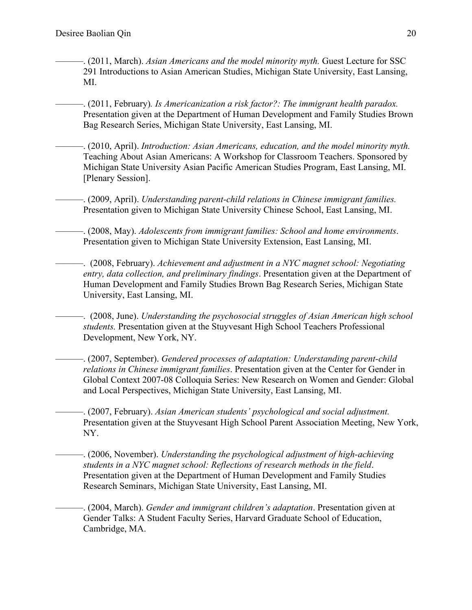- ———. (2011, March). *Asian Americans and the model minority myth.* Guest Lecture for SSC 291 Introductions to Asian American Studies, Michigan State University, East Lansing, MI.
- ———. (2011, February)*. Is Americanization a risk factor?: The immigrant health paradox.*  Presentation given at the Department of Human Development and Family Studies Brown Bag Research Series, Michigan State University, East Lansing, MI.
- ———. (2010, April). *Introduction: Asian Americans, education, and the model minority myth.* Teaching About Asian Americans: A Workshop for Classroom Teachers. Sponsored by Michigan State University Asian Pacific American Studies Program, East Lansing, MI. [Plenary Session].
- ———. (2009, April). *Understanding parent-child relations in Chinese immigrant families.* Presentation given to Michigan State University Chinese School, East Lansing, MI.
- ———. (2008, May). *Adolescents from immigrant families: School and home environments*. Presentation given to Michigan State University Extension, East Lansing, MI.
- ———. (2008, February). *Achievement and adjustment in a NYC magnet school: Negotiating entry, data collection, and preliminary findings*. Presentation given at the Department of Human Development and Family Studies Brown Bag Research Series, Michigan State University, East Lansing, MI.
	- ———. (2008, June). *Understanding the psychosocial struggles of Asian American high school students.* Presentation given at the Stuyvesant High School Teachers Professional Development, New York, NY.
	- ———. (2007, September). *Gendered processes of adaptation: Understanding parent-child relations in Chinese immigrant families*. Presentation given at the Center for Gender in Global Context 2007-08 Colloquia Series: New Research on Women and Gender: Global and Local Perspectives, Michigan State University, East Lansing, MI.
- ———. (2007, February). *Asian American students' psychological and social adjustment.* Presentation given at the Stuyvesant High School Parent Association Meeting, New York, NY.
- ———. (2006, November). *Understanding the psychological adjustment of high-achieving students in a NYC magnet school: Reflections of research methods in the field*. Presentation given at the Department of Human Development and Family Studies Research Seminars, Michigan State University, East Lansing, MI.
- ———. (2004, March). *Gender and immigrant children's adaptation*. Presentation given at Gender Talks: A Student Faculty Series, Harvard Graduate School of Education, Cambridge, MA.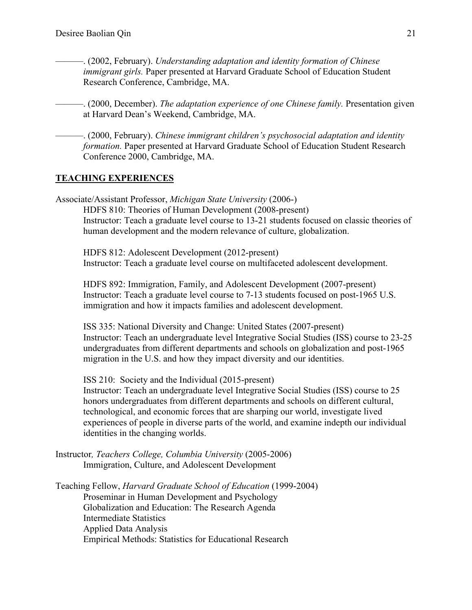- ———. (2002, February). *Understanding adaptation and identity formation of Chinese immigrant girls.* Paper presented at Harvard Graduate School of Education Student Research Conference, Cambridge, MA.
- ———. (2000, December). *The adaptation experience of one Chinese family.* Presentation given at Harvard Dean's Weekend, Cambridge, MA.
	- ———. (2000, February). *Chinese immigrant children's psychosocial adaptation and identity formation.* Paper presented at Harvard Graduate School of Education Student Research Conference 2000, Cambridge, MA.

## **TEACHING EXPERIENCES**

Associate/Assistant Professor, *Michigan State University* (2006-) HDFS 810: Theories of Human Development (2008-present) Instructor: Teach a graduate level course to 13-21 students focused on classic theories of human development and the modern relevance of culture, globalization.

HDFS 812: Adolescent Development (2012-present) Instructor: Teach a graduate level course on multifaceted adolescent development.

HDFS 892: Immigration, Family, and Adolescent Development (2007-present) Instructor: Teach a graduate level course to 7-13 students focused on post-1965 U.S. immigration and how it impacts families and adolescent development.

[ISS 335: National Diversity and Change: United States \(2007-present\)](http://www.reg.msu.edu/Courses/Request.asp)  Instructor: Teach an undergraduate level Integrative Social Studies (ISS) course to 23-25 undergraduates from different departments and schools on globalization and post-1965 migration in the U.S. and how they impact diversity and our identities.

[ISS 210: Society and the Individual \(2015-present\)](http://www.reg.msu.edu/Courses/Request.asp) 

Instructor: Teach an undergraduate level Integrative Social Studies (ISS) course to 25 honors undergraduates from different departments and schools on different cultural, technological, and economic forces that are sharping our world, investigate lived experiences of people in diverse parts of the world, and examine indepth our individual identities in the changing worlds.

Instructor*, Teachers College, Columbia University* (2005-2006) Immigration, Culture, and Adolescent Development

Teaching Fellow, *Harvard Graduate School of Education* (1999-2004) Proseminar in Human Development and Psychology Globalization and Education: The Research Agenda Intermediate Statistics Applied Data Analysis Empirical Methods: Statistics for Educational Research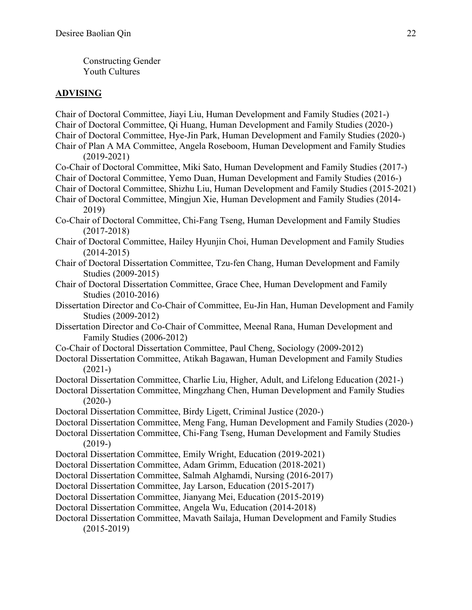Constructing Gender Youth Cultures

## **ADVISING**

Chair of Doctoral Committee, Jiayi Liu, Human Development and Family Studies (2021-) Chair of Doctoral Committee, Qi Huang, Human Development and Family Studies (2020-) Chair of Doctoral Committee, Hye-Jin Park, Human Development and Family Studies (2020-) Chair of Plan A MA Committee, Angela Roseboom, Human Development and Family Studies (2019-2021) Co-Chair of Doctoral Committee, Miki Sato, Human Development and Family Studies (2017-) Chair of Doctoral Committee, Yemo Duan, Human Development and Family Studies (2016-) Chair of Doctoral Committee, Shizhu Liu, Human Development and Family Studies (2015-2021) Chair of Doctoral Committee, Mingjun Xie, Human Development and Family Studies (2014- 2019) Co-Chair of Doctoral Committee, Chi-Fang Tseng, Human Development and Family Studies (2017-2018) Chair of Doctoral Committee, Hailey Hyunjin Choi, Human Development and Family Studies (2014-2015) Chair of Doctoral Dissertation Committee, Tzu-fen Chang, Human Development and Family Studies (2009-2015) Chair of Doctoral Dissertation Committee, Grace Chee, Human Development and Family Studies (2010-2016) Dissertation Director and Co-Chair of Committee, Eu-Jin Han, Human Development and Family Studies (2009-2012) Dissertation Director and Co-Chair of Committee, Meenal Rana, Human Development and Family Studies (2006-2012) Co-Chair of Doctoral Dissertation Committee, Paul Cheng, Sociology (2009-2012) Doctoral Dissertation Committee, Atikah Bagawan, Human Development and Family Studies  $(2021-)$ Doctoral Dissertation Committee, Charlie Liu, Higher, Adult, and Lifelong Education (2021-) Doctoral Dissertation Committee, Mingzhang Chen, Human Development and Family Studies  $(2020-)$ Doctoral Dissertation Committee, Birdy Ligett, Criminal Justice (2020-) Doctoral Dissertation Committee, Meng Fang, Human Development and Family Studies (2020-) Doctoral Dissertation Committee, Chi-Fang Tseng, Human Development and Family Studies  $(2019-)$ Doctoral Dissertation Committee, Emily Wright, Education (2019-2021) Doctoral Dissertation Committee, Adam Grimm, Education (2018-2021) Doctoral Dissertation Committee, Salmah Alghamdi, Nursing (2016-2017) Doctoral Dissertation Committee, Jay Larson, Education (2015-2017) Doctoral Dissertation Committee, Jianyang Mei, Education (2015-2019) Doctoral Dissertation Committee, Angela Wu, Education (2014-2018) Doctoral Dissertation Committee, Mavath Sailaja, Human Development and Family Studies (2015-2019)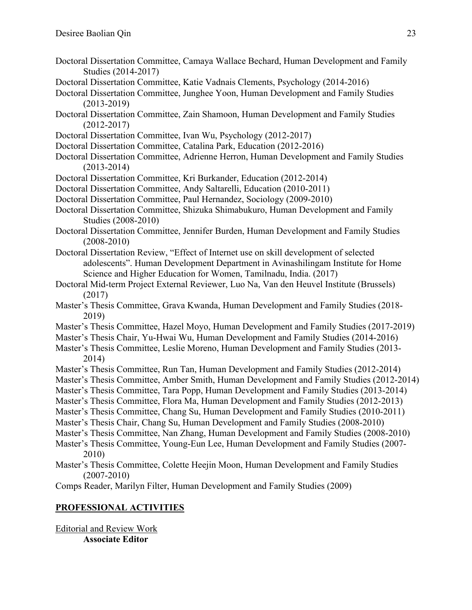- Doctoral Dissertation Committee, Camaya Wallace Bechard, Human Development and Family Studies (2014-2017)
- Doctoral Dissertation Committee, Katie Vadnais Clements, Psychology (2014-2016)
- Doctoral Dissertation Committee, Junghee Yoon, Human Development and Family Studies (2013-2019)
- Doctoral Dissertation Committee, Zain Shamoon, Human Development and Family Studies (2012-2017)
- Doctoral Dissertation Committee, Ivan Wu, Psychology (2012-2017)
- Doctoral Dissertation Committee, Catalina Park, Education (2012-2016)
- Doctoral Dissertation Committee, Adrienne Herron, Human Development and Family Studies (2013-2014)
- Doctoral Dissertation Committee, Kri Burkander, Education (2012-2014)
- Doctoral Dissertation Committee, Andy Saltarelli, Education (2010-2011)
- Doctoral Dissertation Committee, Paul Hernandez, Sociology (2009-2010)
- Doctoral Dissertation Committee, Shizuka Shimabukuro, Human Development and Family Studies (2008-2010)
- Doctoral Dissertation Committee, Jennifer Burden, Human Development and Family Studies (2008-2010)
- Doctoral Dissertation Review, "Effect of Internet use on skill development of selected adolescents". Human Development Department in Avinashilingam Institute for Home Science and Higher Education for Women, Tamilnadu, India. (2017)
- Doctoral Mid-term Project External Reviewer, Luo Na, Van den Heuvel Institute (Brussels) (2017)
- Master's Thesis Committee, Grava Kwanda, Human Development and Family Studies (2018- 2019)
- Master's Thesis Committee, Hazel Moyo, Human Development and Family Studies (2017-2019)
- Master's Thesis Chair, Yu-Hwai Wu, Human Development and Family Studies (2014-2016)
- Master's Thesis Committee, Leslie Moreno, Human Development and Family Studies (2013- 2014)
- Master's Thesis Committee, Run Tan, Human Development and Family Studies (2012-2014)
- Master's Thesis Committee, Amber Smith, Human Development and Family Studies (2012-2014)
- Master's Thesis Committee, Tara Popp, Human Development and Family Studies (2013-2014)
- Master's Thesis Committee, Flora Ma, Human Development and Family Studies (2012-2013)
- Master's Thesis Committee, Chang Su, Human Development and Family Studies (2010-2011)
- Master's Thesis Chair, Chang Su, Human Development and Family Studies (2008-2010)
- Master's Thesis Committee, Nan Zhang, Human Development and Family Studies (2008-2010)
- Master's Thesis Committee, Young-Eun Lee, Human Development and Family Studies (2007- 2010)
- Master's Thesis Committee, Colette Heejin Moon, Human Development and Family Studies (2007-2010)
- Comps Reader, Marilyn Filter, Human Development and Family Studies (2009)

# **PROFESSIONAL ACTIVITIES**

Editorial and Review Work **Associate Editor**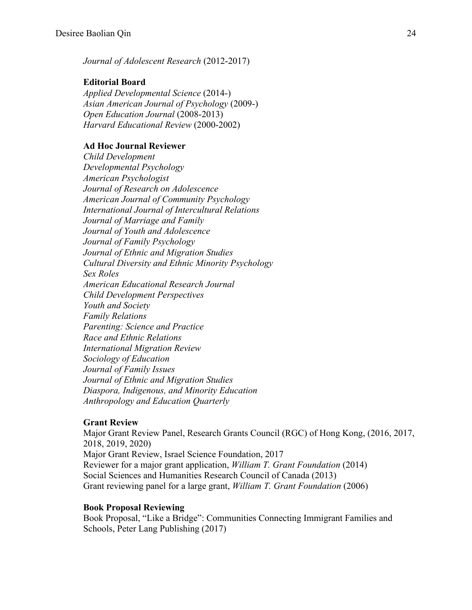*Journal of Adolescent Research* (2012-2017)

## **Editorial Board**

*Applied Developmental Science* (2014-) *Asian American Journal of Psychology* (2009-) *Open Education Journal* (2008-2013) *Harvard Educational Review* (2000-2002)

## **Ad Hoc Journal Reviewer**

*Child Development Developmental Psychology American Psychologist Journal of Research on Adolescence American Journal of Community Psychology International Journal of Intercultural Relations Journal of Marriage and Family Journal of Youth and Adolescence Journal of Family Psychology Journal of Ethnic and Migration Studies Cultural Diversity and Ethnic Minority Psychology Sex Roles American Educational Research Journal Child Development Perspectives Youth and Society Family Relations Parenting: Science and Practice Race and Ethnic Relations International Migration Review Sociology of Education Journal of Family Issues Journal of Ethnic and Migration Studies Diaspora, Indigenous, and Minority Education Anthropology and Education Quarterly*

### **Grant Review**

Major Grant Review Panel, Research Grants Council (RGC) of Hong Kong, (2016, 2017, 2018, 2019, 2020) Major Grant Review, Israel Science Foundation, 2017 Reviewer for a major grant application, *William T. Grant Foundation* (2014) Social Sciences and Humanities Research Council of Canada (2013) Grant reviewing panel for a large grant, *William T. Grant Foundation* (2006)

#### **Book Proposal Reviewing**

Book Proposal, "Like a Bridge": Communities Connecting Immigrant Families and Schools, Peter Lang Publishing (2017)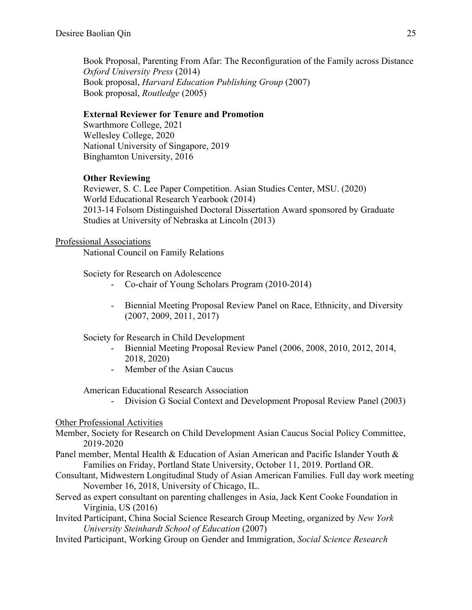Book Proposal, Parenting From Afar: The Reconfiguration of the Family across Distance *Oxford University Press* (2014) Book proposal, *Harvard Education Publishing Group* (2007) Book proposal, *Routledge* (2005)

### **External Reviewer for Tenure and Promotion**

Swarthmore College, 2021 Wellesley College, 2020 National University of Singapore, 2019 Binghamton University, 2016

## **Other Reviewing**

Reviewer, S. C. Lee Paper Competition. Asian Studies Center, MSU. (2020) World Educational Research Yearbook (2014) 2013-14 Folsom Distinguished Doctoral Dissertation Award sponsored by Graduate Studies at University of Nebraska at Lincoln (2013)

#### Professional Associations

National Council on Family Relations

Society for Research on Adolescence

- Co-chair of Young Scholars Program (2010-2014)
- Biennial Meeting Proposal Review Panel on Race, Ethnicity, and Diversity (2007, 2009, 2011, 2017)

Society for Research in Child Development

- Biennial Meeting Proposal Review Panel (2006, 2008, 2010, 2012, 2014, 2018, 2020)
- Member of the Asian Caucus

### American Educational Research Association

- Division G Social Context and Development Proposal Review Panel (2003)

#### Other Professional Activities

- Member, Society for Research on Child Development Asian Caucus Social Policy Committee, 2019-2020
- Panel member, Mental Health & Education of Asian American and Pacific Islander Youth & Families on Friday, Portland State University, October 11, 2019. Portland OR.
- Consultant, Midwestern Longitudinal Study of Asian American Families. Full day work meeting November 16, 2018, University of Chicago, IL.
- Served as expert consultant on parenting challenges in Asia, Jack Kent Cooke Foundation in Virginia, US (2016)
- Invited Participant, China Social Science Research Group Meeting, organized by *New York University Steinhardt School of Education* (2007)
- Invited Participant, Working Group on Gender and Immigration, *Social Science Research*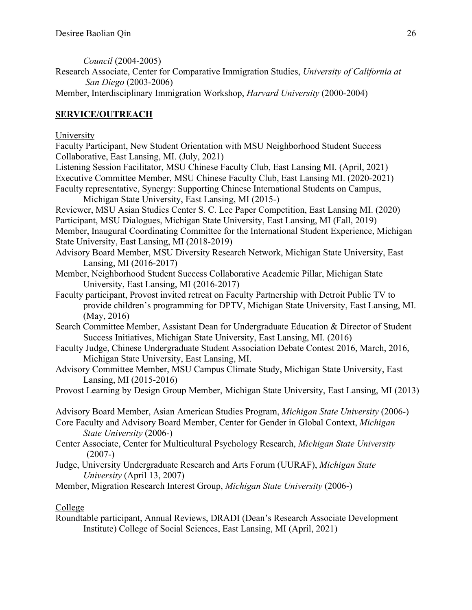*Council* (2004-2005)

- Research Associate, Center for Comparative Immigration Studies, *University of California at San Diego* (2003-2006)
- Member, Interdisciplinary Immigration Workshop, *Harvard University* (2000-2004)

# **SERVICE/OUTREACH**

University

- Faculty Participant, New Student Orientation with MSU Neighborhood Student Success Collaborative, East Lansing, MI. (July, 2021)
- Listening Session Facilitator, MSU Chinese Faculty Club, East Lansing MI. (April, 2021) Executive Committee Member, MSU Chinese Faculty Club, East Lansing MI. (2020-2021) Faculty representative, Synergy: Supporting Chinese International Students on Campus,
	- Michigan State University, East Lansing, MI (2015-)
- Reviewer, MSU Asian Studies Center S. C. Lee Paper Competition, East Lansing MI. (2020) Participant, MSU Dialogues, Michigan State University, East Lansing, MI (Fall, 2019) Member, Inaugural Coordinating Committee for the International Student Experience, Michigan State University, East Lansing, MI (2018-2019)
- Advisory Board Member, MSU Diversity Research Network, Michigan State University, East Lansing, MI (2016-2017)
- Member, Neighborhood Student Success Collaborative Academic Pillar, Michigan State University, East Lansing, MI (2016-2017)
- Faculty participant, Provost invited retreat on Faculty Partnership with Detroit Public TV to provide children's programming for DPTV, Michigan State University, East Lansing, MI. (May, 2016)
- Search Committee Member, Assistant Dean for Undergraduate Education & Director of Student Success Initiatives, Michigan State University, East Lansing, MI. (2016)
- Faculty Judge, Chinese Undergraduate Student Association Debate Contest 2016, March, 2016, Michigan State University, East Lansing, MI.
- Advisory Committee Member, MSU Campus Climate Study, Michigan State University, East Lansing, MI (2015-2016)
- Provost Learning by Design Group Member, Michigan State University, East Lansing, MI (2013)
- Advisory Board Member, Asian American Studies Program, *Michigan State University* (2006-)
- Core Faculty and Advisory Board Member, Center for Gender in Global Context, *Michigan State University* (2006-)
- Center Associate, Center for Multicultural Psychology Research, *Michigan State University*  $(2007-)$
- Judge, University Undergraduate Research and Arts Forum (UURAF), *Michigan State University* (April 13, 2007)
- Member, Migration Research Interest Group, *Michigan State University* (2006-)

# College

Roundtable participant, Annual Reviews, DRADI (Dean's Research Associate Development Institute) College of Social Sciences, East Lansing, MI (April, 2021)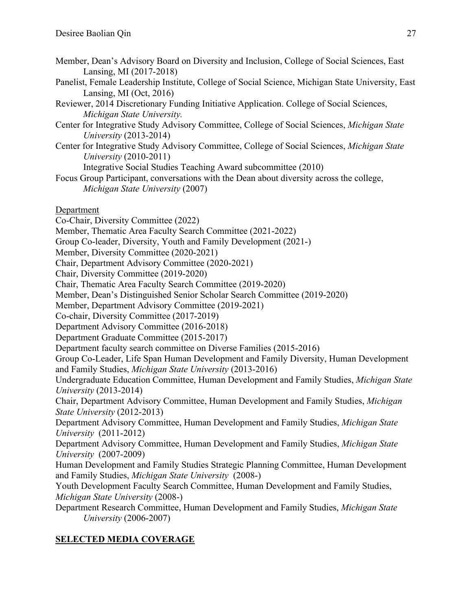- Member, Dean's Advisory Board on Diversity and Inclusion, College of Social Sciences, East Lansing, MI (2017-2018)
- Panelist, Female Leadership Institute, College of Social Science, Michigan State University, East Lansing, MI (Oct, 2016)
- Reviewer, 2014 Discretionary Funding Initiative Application. College of Social Sciences, *Michigan State University.*
- Center for Integrative Study Advisory Committee, College of Social Sciences, *Michigan State University* (2013-2014)
- Center for Integrative Study Advisory Committee, College of Social Sciences, *Michigan State University* (2010-2011)

Integrative Social Studies Teaching Award subcommittee (2010)

Focus Group Participant, conversations with the Dean about diversity across the college, *Michigan State University* (2007)

## Department

Co-Chair, Diversity Committee (2022)

Member, Thematic Area Faculty Search Committee (2021-2022)

Group Co-leader, Diversity, Youth and Family Development (2021-)

Member, Diversity Committee (2020-2021)

Chair, Department Advisory Committee (2020-2021)

Chair, Diversity Committee (2019-2020)

Chair, Thematic Area Faculty Search Committee (2019-2020)

Member, Dean's Distinguished Senior Scholar Search Committee (2019-2020)

Member, Department Advisory Committee (2019-2021)

Co-chair, Diversity Committee (2017-2019)

Department Advisory Committee (2016-2018)

Department Graduate Committee (2015-2017)

Department faculty search committee on Diverse Families (2015-2016)

Group Co-Leader, Life Span Human Development and Family Diversity, Human Development and Family Studies, *Michigan State University* (2013-2016)

Undergraduate Education Committee, Human Development and Family Studies, *Michigan State University* (2013-2014)

Chair, Department Advisory Committee, Human Development and Family Studies, *Michigan State University* (2012-2013)

Department Advisory Committee, Human Development and Family Studies, *Michigan State University* (2011-2012)

Department Advisory Committee, Human Development and Family Studies, *Michigan State University* (2007-2009)

Human Development and Family Studies Strategic Planning Committee, Human Development and Family Studies, *Michigan State University* (2008-)

Youth Development Faculty Search Committee, Human Development and Family Studies, *Michigan State University* (2008-)

Department Research Committee, Human Development and Family Studies, *Michigan State University* (2006-2007)

# **SELECTED MEDIA COVERAGE**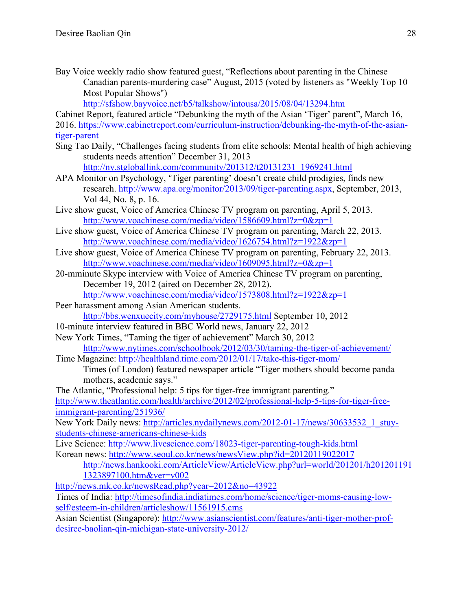Bay Voice weekly radio show featured guest, "Reflections about parenting in the Chinese Canadian parents-murdering case" August, 2015 (voted by listeners as "Weekly Top 10 Most Popular Shows")

[http://sfshow.bayvoice.net/b5/talkshow/intousa/2015/08/04/13294.htm](http://sfshow.bayvoice.net/b5/talkshow/intousa/2015/08/04/13294.htm%E5%8A%A0%E5%9C%8B%E8%8F%AF%E8%A3%94%E5%A5%B3%E5%AD%A9%E8%B2%B7%E5%85%87%E6%AE%BA%E7%88%B6%E6%AF%8D%E5%BC%95%E7%99%BC%E7%9A%84%E6%80%9D%E8%80%83.html)

Cabinet Report, featured article "Debunking the myth of the Asian 'Tiger' parent", March 16, 2016. [https://www.cabinetreport.com/curriculum-instruction/debunking-the-myth-of-the-asian](https://www.cabinetreport.com/curriculum-instruction/debunking-the-myth-of-the-asian-tiger-parent)[tiger-parent](https://www.cabinetreport.com/curriculum-instruction/debunking-the-myth-of-the-asian-tiger-parent)

- Sing Tao Daily, "Challenges facing students from elite schools: Mental health of high achieving students needs attention" December 31, 2013 [http://ny.stgloballink.com/community/201312/t20131231\\_1969241.html](http://ny.stgloballink.com/community/201312/t20131231_1969241.html)
- APA Monitor on Psychology, 'Tiger parenting' doesn't create child prodigies, finds new research. [http://www.apa.org/monitor/2013/09/tiger-parenting.aspx,](http://www.apa.org/monitor/2013/09/tiger-parenting.aspx) September, 2013, Vol 44, No. 8, p. 16.
- Live show guest, Voice of America Chinese TV program on parenting, April 5, 2013. <http://www.voachinese.com/media/video/1586609.html?z=0&zp=1>
- Live show guest, Voice of America Chinese TV program on parenting, March 22, 2013. <http://www.voachinese.com/media/video/1626754.html?z=1922&zp=1>
- Live show guest, Voice of America Chinese TV program on parenting, February 22, 2013. <http://www.voachinese.com/media/video/1609095.html?z=0&zp=1>
- 20-mminute Skype interview with Voice of America Chinese TV program on parenting, December 19, 2012 (aired on December 28, 2012). <http://www.voachinese.com/media/video/1573808.html?z=1922&zp=1>
- Peer harassment among Asian American students. <http://bbs.wenxuecity.com/myhouse/2729175.html>September 10, 2012
- 10-minute interview featured in BBC World news, January 22, 2012
- New York Times, "Taming the tiger of achievement" March 30, 2012

<http://www.nytimes.com/schoolbook/2012/03/30/taming-the-tiger-of-achievement/> Time Magazine:<http://healthland.time.com/2012/01/17/take-this-tiger-mom/>

- Times (of London) featured newspaper article "Tiger mothers should become panda mothers, academic says."
- The Atlantic, "Professional help: 5 tips for tiger-free immigrant parenting."

[http://www.theatlantic.com/health/archive/2012/02/professional-help-5-tips-for-tiger-free](http://www.theatlantic.com/health/archive/2012/02/professional-help-5-tips-for-tiger-free-immigrant-parenting/251936/)[immigrant-parenting/251936/](http://www.theatlantic.com/health/archive/2012/02/professional-help-5-tips-for-tiger-free-immigrant-parenting/251936/)

New York Daily news: [http://articles.nydailynews.com/2012-01-17/news/30633532\\_1\\_stuy](http://articles.nydailynews.com/2012-01-17/news/30633532_1_stuy-students-chinese-americans-chinese-kids)[students-chinese-americans-chinese-kids](http://articles.nydailynews.com/2012-01-17/news/30633532_1_stuy-students-chinese-americans-chinese-kids)

Live Science:<http://www.livescience.com/18023-tiger-parenting-tough-kids.html> Korean news:<http://www.seoul.co.kr/news/newsView.php?id=20120119022017>

- [http://news.hankooki.com/ArticleView/ArticleView.php?url=world/201201/h201201191](http://news.hankooki.com/ArticleView/ArticleView.php?url=world/201201/h2012011911323897100.htm&ver=v002) [1323897100.htm&ver=v002](http://news.hankooki.com/ArticleView/ArticleView.php?url=world/201201/h2012011911323897100.htm&ver=v002)
- <http://news.mk.co.kr/newsRead.php?year=2012&no=43922>

Times of India: [http://timesofindia.indiatimes.com/home/science/tiger-moms-causing-low](http://timesofindia.indiatimes.com/home/science/tiger-moms-causing-low-self/esteem-in-children/articleshow/11561915.cms)[self/esteem-in-children/articleshow/11561915.cms](http://timesofindia.indiatimes.com/home/science/tiger-moms-causing-low-self/esteem-in-children/articleshow/11561915.cms)

Asian Scientist (Singapore): [http://www.asianscientist.com/features/anti-tiger-mother-prof](http://www.asianscientist.com/features/anti-tiger-mother-prof-desiree-baolian-qin-michigan-state-university-2012/)[desiree-baolian-qin-michigan-state-university-2012/](http://www.asianscientist.com/features/anti-tiger-mother-prof-desiree-baolian-qin-michigan-state-university-2012/)